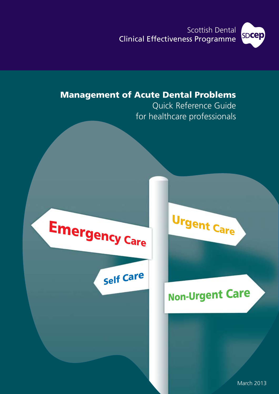Scottish Dental SCOTTISN Dental<br>Clinical Effectiveness Programme



# Management of Acute Dental Problems

Quick Reference Guide for healthcare professionals



<sup>S</sup>el<sup>f</sup> <sup>C</sup>ar<sup>e</sup>

<sup>U</sup>rgen<sup>t</sup> <sup>C</sup>ar<sup>e</sup>

# <sup>N</sup>on-Urgen<sup>t</sup> Car<sup>e</sup>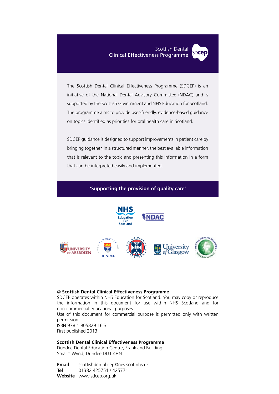Scottish Dental Clinical Effectiveness Programme SDcep



The Scottish Dental Clinical Effectiveness Programme (SDCEP) is an initiative of the National Dental Advisory Committee (NDAC) and is supported by the Scottish Government and NHS Education for Scotland. The programme aims to provide user-friendly, evidence-based guidance on topics identified as priorities for oral health care in Scotland.

SDCEP guidance is designed to support improvements in patient care by bringing together, in a structured manner, the best available information that is relevant to the topic and presenting this information in a form that can be interpreted easily and implemented.

#### **'Supporting the provision of quality care'**



#### © **Scottish Dental Clinical Effectiveness Programme**

**DUNDER** 

SDCEP operates within NHS Education for Scotland. You may copy or reproduce the information in this document for use within NHS Scotland and for non-commercial educational purposes.

Use of this document for commercial purpose is permitted only with written permission.

ISBN 978 1 905829 16 3 First published 2013

#### **Scottish Dental Clinical Effectiveness Programme**

Dundee Dental Education Centre, Frankland Building, Small's Wynd, Dundee DD1 4HN

**Email** scottishdental.cep@nes.scot.nhs.uk **Tel** 01382 425751 / 425771 **Website** www.sdcep.org.uk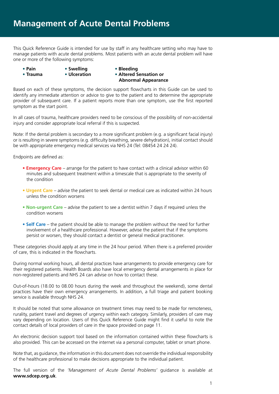This Quick Reference Guide is intended for use by staff in any healthcare setting who may have to manage patients with acute dental problems. Most patients with an acute dental problem will have one or more of the following symptoms:

- 
- 
- 
- 
- **Pain Swelling Bleeding**  • **Trauma** • **Ulceration** • **Altered Sensation or Abnormal Appearance**

Based on each of these symptoms, the decision support flowcharts in this Guide can be used to identify any immediate attention or advice to give to the patient and to determine the appropriate provider of subsequent care. If a patient reports more than one symptom, use the first reported symptom as the start point.

In all cases of trauma, healthcare providers need to be conscious of the possibility of non-accidental injury and consider appropriate local referral if this is suspected.

Note: If the dental problem is secondary to a more significant problem (e.g. a significant facial injury) or is resulting in severe symptoms (e.g. difficulty breathing, severe dehydration), initial contact should be with appropriate emergency medical services via NHS 24 (Tel: 08454 24 24 24).

Endpoints are defined as:

- **Emergency Care** arrange for the patient to have contact with a clinical advisor within 60 minutes and subsequent treatment within a timescale that is appropriate to the severity of the condition
- **Urgent Care** advise the patient to seek dental or medical care as indicated within 24 hours unless the condition worsens
- **Non-urgent Care** advise the patient to see a dentist within 7 days if required unless the condition worsens
- **Self Care** the patient should be able to manage the problem without the need for further involvement of a healthcare professional. However, advise the patient that if the symptoms persist or worsen, they should contact a dentist or general medical practitioner.

These categories should apply at any time in the 24 hour period. When there is a preferred provider of care, this is indicated in the flowcharts.

During normal working hours, all dental practices have arrangements to provide emergency care for their registered patients. Health Boards also have local emergency dental arrangements in place for non-registered patients and NHS 24 can advise on how to contact these.

Out-of-hours (18.00 to 08.00 hours during the week and throughout the weekend), some dental practices have their own emergency arrangements. In addition, a full triage and patient booking service is available through NHS 24.

It should be noted that some allowance on treatment times may need to be made for remoteness, rurality, patient travel and degrees of urgency within each category. Similarly, providers of care may vary depending on location. Users of this Quick Reference Guide might find it useful to note the contact details of local providers of care in the space provided on page 11.

An electronic decision support tool based on the information contained within these flowcharts is also provided. This can be accessed on the internet via a personal computer, tablet or smart phone.

Note that, as guidance, the information in this document does not override the individual responsibility of the healthcare professional to make decisions appropriate to the individual patient.

The full version of the *'Management of Acute Dental Problems'* guidance is available at **www.sdcep.org.uk**.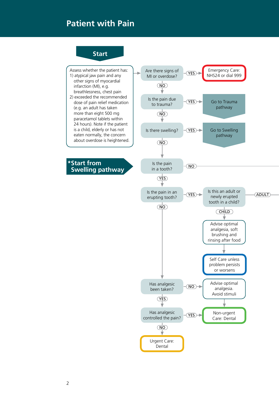### **Patient with Pain**

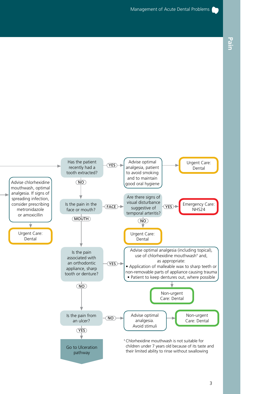

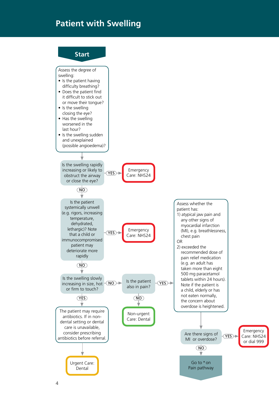#### **Patient with Swelling**

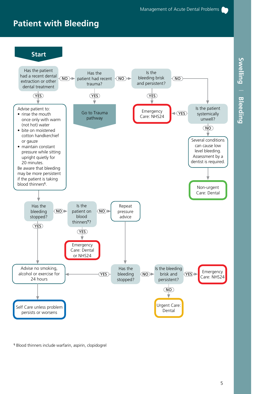# **Patient with Bleeding**



¶ Blood thinners include warfarin, aspirin, clopidogrel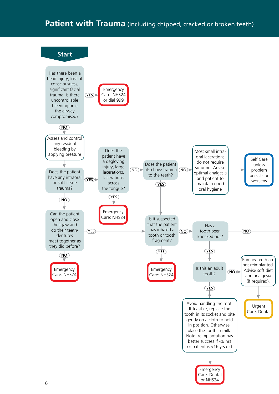#### **Patient with Trauma** (including chipped, cracked or broken teeth)

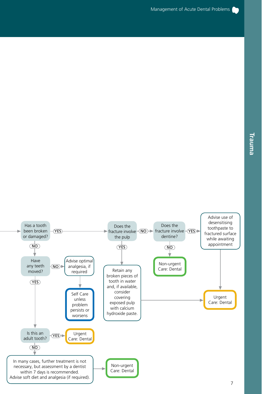

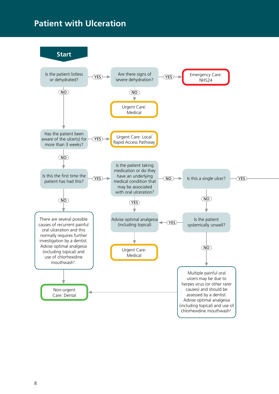# **Patient with Ulceration**

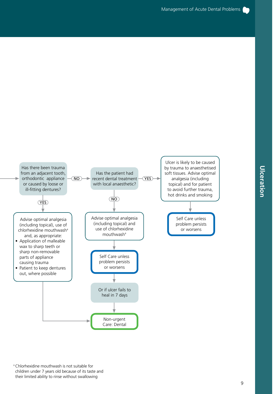

their limited ability to rinse without swallowing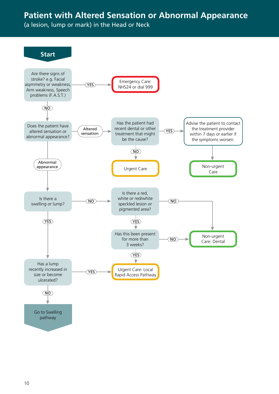### **Patient with Altered Sensation or Abnormal Appearance**

(a lesion, lump or mark) in the Head or Neck

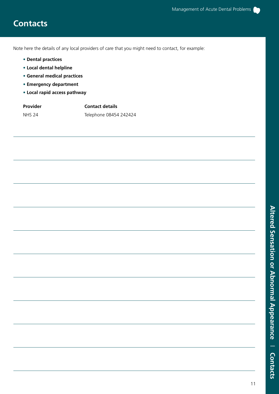## **Contacts**

Note here the details of any local providers of care that you might need to contact, for example:

- **Dental practices**
- **Local dental helpline**
- **General medical practices**
- **Emergency department**
- **Local rapid access pathway**

| Provider | <b>Contact details</b> |
|----------|------------------------|
| NHS 24   | Telephone 08454 242424 |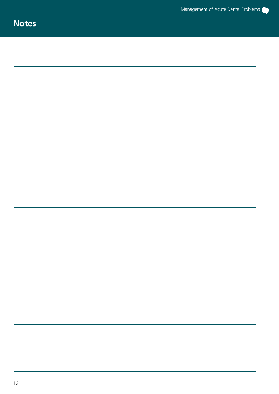# **Notes**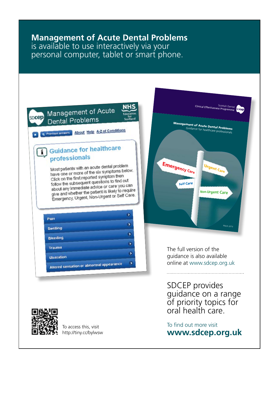#### **Management of Acute Dental Problems** is available to use interactively via your personal computer, tablet or smart phone.

| spcep | Management of Acute<br><b>Dental Problems</b>                                                                                                                                                                                                                                                                                                                                             | Scotland |
|-------|-------------------------------------------------------------------------------------------------------------------------------------------------------------------------------------------------------------------------------------------------------------------------------------------------------------------------------------------------------------------------------------------|----------|
|       | About Help A-Z of Conditions<br>Previous answers                                                                                                                                                                                                                                                                                                                                          |          |
|       | <b>Guidance for healthcare</b><br>professionals<br>Most patients with an acute dental problem<br>have one or more of the six symptoms below.<br>Click on the first reported symptom then<br>follow the subsequent questions to find out<br>about any immediate advice or care you can<br>give and whether the patient is likely to require<br>Emergency, Urgent, Non-Urgent or Self Care. |          |
|       | Pain                                                                                                                                                                                                                                                                                                                                                                                      | ×        |
|       | <b>Swelling</b>                                                                                                                                                                                                                                                                                                                                                                           | ,        |
|       | <b>Bleeding</b>                                                                                                                                                                                                                                                                                                                                                                           | ,        |
|       | Trauma                                                                                                                                                                                                                                                                                                                                                                                    | ×        |
|       | <b>Ulceration</b>                                                                                                                                                                                                                                                                                                                                                                         | ٠        |
|       | Altered sensation or abnormal appearance                                                                                                                                                                                                                                                                                                                                                  |          |



To access this, visit http://tiny.cc/bylwsw



The full version of the guidance is also available online at www.sdcep.org.uk

SDCEP provides guidance on a range of priority topics for oral health care.

To find out more visit **www.sdcep.org.uk**